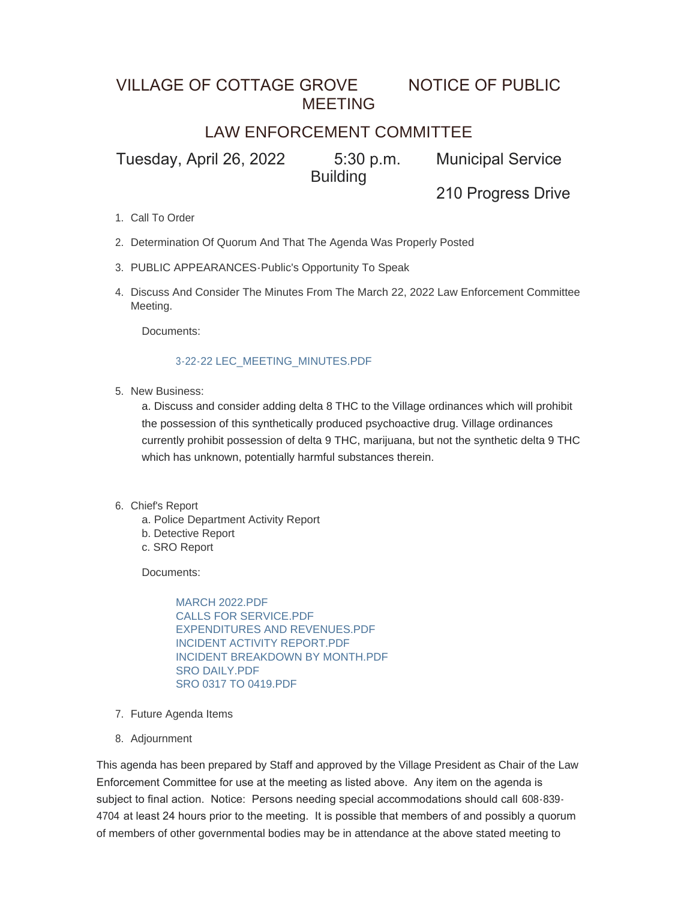## VILLAGE OF COTTAGE GROVE NOTICE OF PUBLIC MEETING

## LAW ENFORCEMENT COMMITTEE

Tuesday, April 26, 2022 5:30 p.m. Municipal Service **Building** 

210 Progress Drive

- 1. Call To Order
- 2. Determination Of Quorum And That The Agenda Was Properly Posted
- PUBLIC APPEARANCES-Public's Opportunity To Speak 3.
- 4. Discuss And Consider The Minutes From The March 22, 2022 Law Enforcement Committee Meeting.

Documents:

## [3-22-22 LEC\\_MEETING\\_MINUTES.PDF](https://www.vi.cottagegrove.wi.gov/AgendaCenter/ViewFile/Item/9934?fileID=19559)

5. New Business:

a. Discuss and consider adding delta 8 THC to the Village ordinances which will prohibit the possession of this synthetically produced psychoactive drug. Village ordinances currently prohibit possession of delta 9 THC, marijuana, but not the synthetic delta 9 THC which has unknown, potentially harmful substances therein.

- 6. Chief's Report
	- a. Police Department Activity Report
	- b. Detective Report
	- c. SRO Report

Documents:

[MARCH 2022.PDF](https://www.vi.cottagegrove.wi.gov/AgendaCenter/ViewFile/Item/9936?fileID=19560) [CALLS FOR SERVICE.PDF](https://www.vi.cottagegrove.wi.gov/AgendaCenter/ViewFile/Item/9936?fileID=19561) [EXPENDITURES AND REVENUES.PDF](https://www.vi.cottagegrove.wi.gov/AgendaCenter/ViewFile/Item/9936?fileID=19562) [INCIDENT ACTIVITY REPORT.PDF](https://www.vi.cottagegrove.wi.gov/AgendaCenter/ViewFile/Item/9936?fileID=19563) [INCIDENT BREAKDOWN BY MONTH.PDF](https://www.vi.cottagegrove.wi.gov/AgendaCenter/ViewFile/Item/9936?fileID=19564) [SRO DAILY.PDF](https://www.vi.cottagegrove.wi.gov/AgendaCenter/ViewFile/Item/9936?fileID=19565) [SRO 0317 TO 0419.PDF](https://www.vi.cottagegrove.wi.gov/AgendaCenter/ViewFile/Item/9936?fileID=19566)

- 7. Future Agenda Items
- 8. Adjournment

This agenda has been prepared by Staff and approved by the Village President as Chair of the Law Enforcement Committee for use at the meeting as listed above. Any item on the agenda is subject to final action. Notice: Persons needing special accommodations should call 608-839- 4704 at least 24 hours prior to the meeting. It is possible that members of and possibly a quorum of members of other governmental bodies may be in attendance at the above stated meeting to